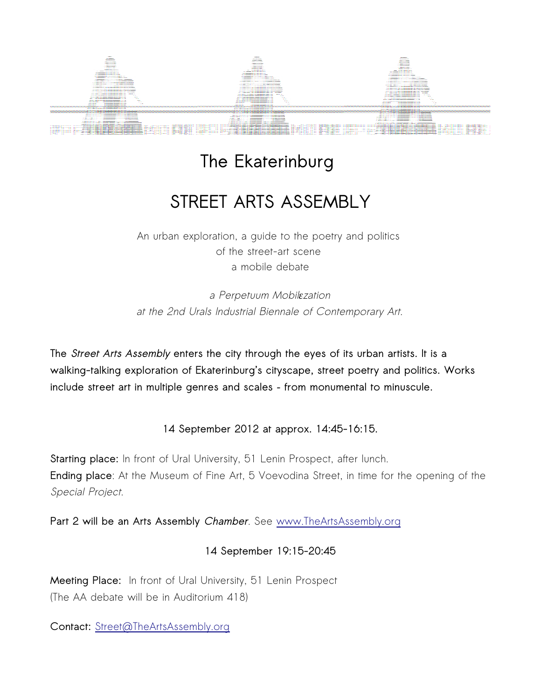

## **The Ekaterinburg**

## **STREET ARTS ASSEMBLY**

An urban exploration, a guide to the poetry and politics of the street-art scene a mobile debate

a Perpetuum Mobil*ε*zation at the 2nd Urals Industrial Biennale of Contemporary Art.

**The Street Arts Assembly enters the city through the eyes of its urban artists. It is a walking-talking exploration of Ekaterinburg's cityscape, street poetry and politics. Works include street art in multiple genres and scales – from monumental to minuscule.**

**14 September 2012 at approx. 14:45-16:15.**

**Starting place:** In front of Ural University, 51 Lenin Prospect, after lunch. **Ending place**: At the Museum of Fine Art, 5 Voevodina Street, in time for the opening of the Special Project.

**Part 2 will be an Arts Assembly Chamber**. See [www.TheArtsAssembly.org](http://www.TheArtsAssembly.org/)

## **14 September 19:15-20:45**

**Meeting Place:** In front of Ural University, 51 Lenin Prospect (The AA debate will be in Auditorium 418)

**Contact:** [Street@TheArtsAssembly.org](mailto:Street@TheArtsAssembly.org)